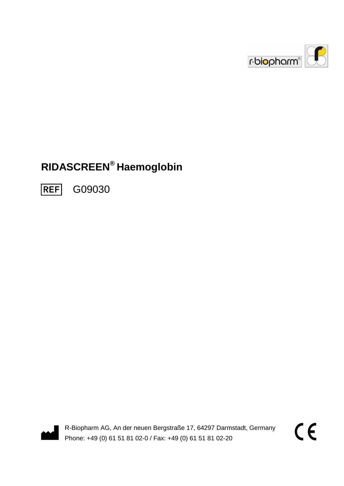

# **RIDASCREEN® Haemoglobin**

G09030 **REF** 



R-Biopharm AG, An der neuen Bergstraße 17, 64297 Darmstadt, Germany Phone: +49 (0) 61 51 81 02-0 / Fax: +49 (0) 61 51 81 02-20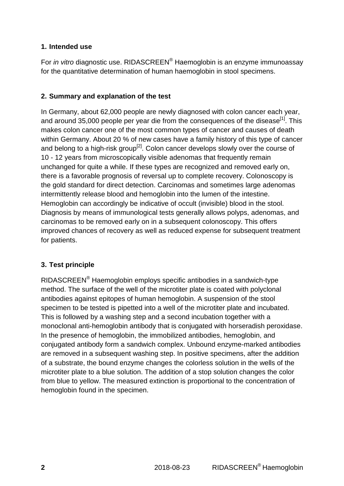#### **1. Intended use**

For *in vitro* diagnostic use. RIDASCREEN® Haemoglobin is an enzyme immunoassay for the quantitative determination of human haemoglobin in stool specimens.

#### **2. Summary and explanation of the test**

In Germany, about 62,000 people are newly diagnosed with colon cancer each year, and around 35,000 people per year die from the consequences of the disease<sup>[1]</sup>. This makes colon cancer one of the most common types of cancer and causes of death within Germany. About 20 % of new cases have a family history of this type of cancer and belong to a high-risk group<sup>[2]</sup>. Colon cancer develops slowly over the course of 10 - 12 years from microscopically visible adenomas that frequently remain unchanged for quite a while. If these types are recognized and removed early on, there is a favorable prognosis of reversal up to complete recovery. Colonoscopy is the gold standard for direct detection. Carcinomas and sometimes large adenomas intermittently release blood and hemoglobin into the lumen of the intestine. Hemoglobin can accordingly be indicative of occult (invisible) blood in the stool. Diagnosis by means of immunological tests generally allows polyps, adenomas, and carcinomas to be removed early on in a subsequent colonoscopy. This offers improved chances of recovery as well as reduced expense for subsequent treatment for patients.

#### **3. Test principle**

RIDASCREEN<sup>®</sup> Haemoglobin employs specific antibodies in a sandwich-type method. The surface of the well of the microtiter plate is coated with polyclonal antibodies against epitopes of human hemoglobin. A suspension of the stool specimen to be tested is pipetted into a well of the microtiter plate and incubated. This is followed by a washing step and a second incubation together with a monoclonal anti-hemoglobin antibody that is conjugated with horseradish peroxidase. In the presence of hemoglobin, the immobilized antibodies, hemoglobin, and conjugated antibody form a sandwich complex. Unbound enzyme-marked antibodies are removed in a subsequent washing step. In positive specimens, after the addition of a substrate, the bound enzyme changes the colorless solution in the wells of the microtiter plate to a blue solution. The addition of a stop solution changes the color from blue to yellow. The measured extinction is proportional to the concentration of hemoglobin found in the specimen.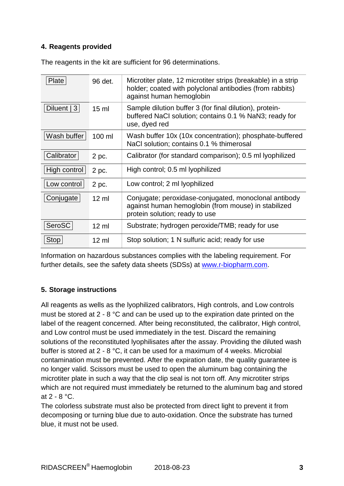#### **4. Reagents provided**

| Plate         | 96 det.          | Microtiter plate, 12 microtiter strips (breakable) in a strip<br>holder; coated with polyclonal antibodies (from rabbits)<br>against human hemoglobin |
|---------------|------------------|-------------------------------------------------------------------------------------------------------------------------------------------------------|
| Diluent $ 3 $ | 15 <sub>m</sub>  | Sample dilution buffer 3 (for final dilution), protein-<br>buffered NaCI solution; contains 0.1 % NaN3; ready for<br>use, dyed red                    |
| Wash buffer   | 100 ml           | Wash buffer 10x (10x concentration); phosphate-buffered<br>NaCl solution; contains 0.1 % thimerosal                                                   |
| Calibrator    | 2 pc.            | Calibrator (for standard comparison); 0.5 ml lyophilized                                                                                              |
| High control  | 2 pc.            | High control; 0.5 ml lyophilized                                                                                                                      |
| Low control   | 2 pc.            | Low control; 2 ml lyophilized                                                                                                                         |
| Conjugate     | $12 \mathrm{ml}$ | Conjugate; peroxidase-conjugated, monoclonal antibody<br>against human hemoglobin (from mouse) in stabilized<br>protein solution; ready to use        |
| SeroSC        | $12 \mathrm{ml}$ | Substrate; hydrogen peroxide/TMB; ready for use                                                                                                       |
| <b>Stop</b>   | $12 \mathrm{m}$  | Stop solution; 1 N sulfuric acid; ready for use                                                                                                       |

The reagents in the kit are sufficient for 96 determinations.

Information on hazardous substances complies with the labeling requirement. For further details, see the safety data sheets (SDSs) at www.r-biopharm.com.

# **5. Storage instructions**

All reagents as wells as the lyophilized calibrators, High controls, and Low controls must be stored at 2 - 8 °C and can be used up to the expiration date printed on the label of the reagent concerned. After being reconstituted, the calibrator, High control, and Low control must be used immediately in the test. Discard the remaining solutions of the reconstituted lyophilisates after the assay. Providing the diluted wash buffer is stored at 2 - 8 °C, it can be used for a maximum of 4 weeks. Microbial contamination must be prevented. After the expiration date, the quality guarantee is no longer valid. Scissors must be used to open the aluminum bag containing the microtiter plate in such a way that the clip seal is not torn off. Any microtiter strips which are not required must immediately be returned to the aluminum bag and stored at  $2 - 8$  °C.

The colorless substrate must also be protected from direct light to prevent it from decomposing or turning blue due to auto-oxidation. Once the substrate has turned blue, it must not be used.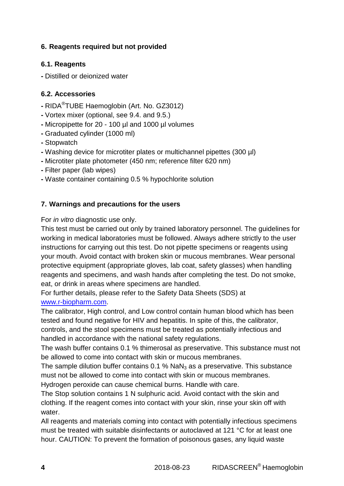#### **6. Reagents required but not provided**

#### **6.1. Reagents**

**-** Distilled or deionized water

#### **6.2. Accessories**

- RIDA® TUBE Haemoglobin (Art. No. GZ3012)
- Vortex mixer (optional, see 9.4. and 9.5.)
- Micropipette for 20 100 µl and 1000 µl volumes
- Graduated cylinder (1000 ml)
- Stopwatch
- Washing device for microtiter plates or multichannel pipettes (300 µl)
- Microtiter plate photometer (450 nm; reference filter 620 nm)
- Filter paper (lab wipes)
- Waste container containing 0.5 % hypochlorite solution

#### **7. Warnings and precautions for the users**

For in vitro diagnostic use only.

This test must be carried out only by trained laboratory personnel. The guidelines for working in medical laboratories must be followed. Always adhere strictly to the user instructions for carrying out this test. Do not pipette specimens or reagents using your mouth. Avoid contact with broken skin or mucous membranes. Wear personal protective equipment (appropriate gloves, lab coat, safety glasses) when handling reagents and specimens, and wash hands after completing the test. Do not smoke, eat, or drink in areas where specimens are handled.

For further details, please refer to the Safety Data Sheets (SDS) at www.r-biopharm.com.

The calibrator, High control, and Low control contain human blood which has been tested and found negative for HIV and hepatitis. In spite of this, the calibrator, controls, and the stool specimens must be treated as potentially infectious and handled in accordance with the national safety regulations.

The wash buffer contains 0.1 % thimerosal as preservative. This substance must not be allowed to come into contact with skin or mucous membranes.

The sample dilution buffer contains  $0.1$  % NaN<sub>3</sub> as a preservative. This substance must not be allowed to come into contact with skin or mucous membranes. Hydrogen peroxide can cause chemical burns. Handle with care.

The Stop solution contains 1 N sulphuric acid. Avoid contact with the skin and clothing. If the reagent comes into contact with your skin, rinse your skin off with water.

All reagents and materials coming into contact with potentially infectious specimens must be treated with suitable disinfectants or autoclaved at 121 °C for at least one hour. CAUTION: To prevent the formation of poisonous gases, any liquid waste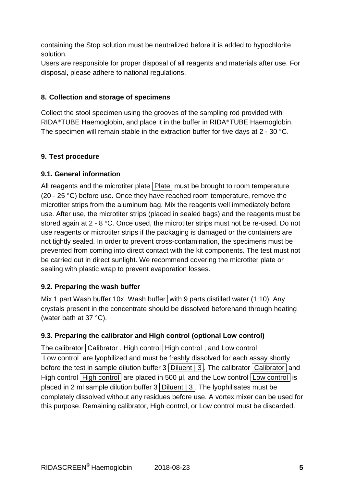containing the Stop solution must be neutralized before it is added to hypochlorite solution.

Users are responsible for proper disposal of all reagents and materials after use. For disposal, please adhere to national regulations.

#### **8. Collection and storage of specimens**

Collect the stool specimen using the grooves of the sampling rod provided with RIDA®TUBE Haemoglobin, and place it in the buffer in RIDA®TUBE Haemoglobin. The specimen will remain stable in the extraction buffer for five days at 2 - 30 °C.

#### **9. Test procedure**

#### **9.1. General information**

All reagents and the microtiter plate Plate must be brought to room temperature (20 - 25 °C) before use. Once they have reached room temperature, remove the microtiter strips from the aluminum bag. Mix the reagents well immediately before use. After use, the microtiter strips (placed in sealed bags) and the reagents must be stored again at 2 - 8 °C. Once used, the microtiter strips must not be re-used. Do not use reagents or microtiter strips if the packaging is damaged or the containers are not tightly sealed. In order to prevent cross-contamination, the specimens must be prevented from coming into direct contact with the kit components. The test must not be carried out in direct sunlight. We recommend covering the microtiter plate or sealing with plastic wrap to prevent evaporation losses.

#### **9.2. Preparing the wash buffer**

Mix 1 part Wash buffer 10x Wash buffer with 9 parts distilled water (1:10). Any crystals present in the concentrate should be dissolved beforehand through heating (water bath at 37 °C).

#### **9.3. Preparing the calibrator and High control (optional Low control)**

The calibrator Calibrator, High control High control, and Low control Low control are lyophilized and must be freshly dissolved for each assay shortly before the test in sample dilution buffer  $3$  Diluent | 3. The calibrator Calibrator and High control High control are placed in 500  $\mu$ l, and the Low control Low control is placed in 2 ml sample dilution buffer  $3$  Diluent  $|3|$ . The lyophilisates must be completely dissolved without any residues before use. A vortex mixer can be used for this purpose. Remaining calibrator, High control, or Low control must be discarded.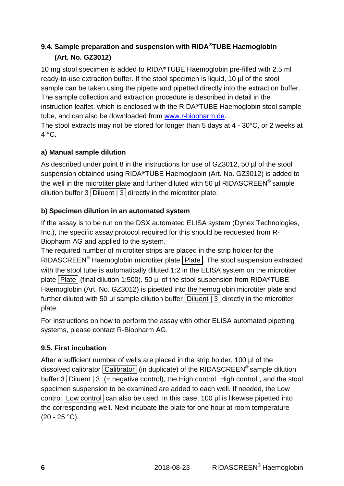# **9.4. Sample preparation and suspension with RIDA® TUBE Haemoglobin (Art. No. GZ3012)**

10 mg stool specimen is added to RIDA®TUBE Haemoglobin pre-filled with 2.5 ml ready-to-use extraction buffer. If the stool specimen is liquid, 10 µl of the stool sample can be taken using the pipette and pipetted directly into the extraction buffer. The sample collection and extraction procedure is described in detail in the instruction leaflet, which is enclosed with the RIDA®TUBE Haemoglobin stool sample tube, and can also be downloaded from www.r-biopharm.de.

The stool extracts may not be stored for longer than 5 days at 4 - 30°C, or 2 weeks at  $4 °C$ .

# **a) Manual sample dilution**

As described under point 8 in the instructions for use of GZ3012, 50 µl of the stool suspension obtained using RIDA®TUBE Haemoglobin (Art. No. GZ3012) is added to the well in the microtiter plate and further diluted with 50 µl RIDASCREEN® sample dilution buffer  $3$  Diluent | 3 directly in the microtiter plate.

# **b) Specimen dilution in an automated system**

If the assay is to be run on the DSX automated ELISA system (Dynex Technologies, Inc.), the specific assay protocol required for this should be requested from R-Biopharm AG and applied to the system.

The required number of microtiter strips are placed in the strip holder for the RIDASCREEN<sup>®</sup> Haemoglobin microtiter plate  $\boxed{\text{Place}}$ . The stool suspension extracted with the stool tube is automatically diluted 1:2 in the ELISA system on the microtiter plate Plate (final dilution 1:500). 50 µl of the stool suspension from RIDA<sup>®</sup>TUBE Haemoglobin (Art. No. GZ3012) is pipetted into the hemoglobin microtiter plate and further diluted with 50  $\mu$  sample dilution buffer Diluent  $\vert$  3 directly in the microtiter plate.

For instructions on how to perform the assay with other ELISA automated pipetting systems, please contact R-Biopharm AG.

# **9.5. First incubation**

After a sufficient number of wells are placed in the strip holder, 100 µl of the dissolved calibrator  $\boxed{\text{Calibration}}$  (in duplicate) of the RIDASCREEN<sup>®</sup> sample dilution buffer 3 Diluent  $|3|$  (= negative control), the High control High control, and the stool specimen suspension to be examined are added to each well. If needed, the Low control Low control can also be used. In this case, 100 µl is likewise pipetted into the corresponding well. Next incubate the plate for one hour at room temperature  $(20 - 25 °C)$ .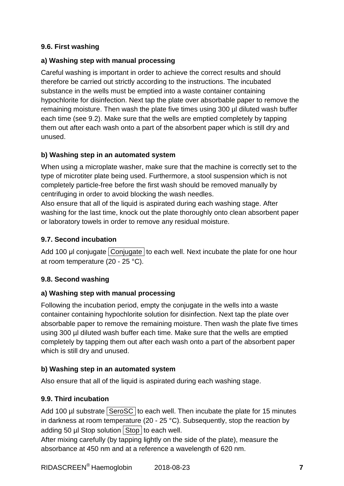#### **9.6. First washing**

#### **a) Washing step with manual processing**

Careful washing is important in order to achieve the correct results and should therefore be carried out strictly according to the instructions. The incubated substance in the wells must be emptied into a waste container containing hypochlorite for disinfection. Next tap the plate over absorbable paper to remove the remaining moisture. Then wash the plate five times using 300 µl diluted wash buffer each time (see 9.2). Make sure that the wells are emptied completely by tapping them out after each wash onto a part of the absorbent paper which is still dry and unused.

#### **b) Washing step in an automated system**

When using a microplate washer, make sure that the machine is correctly set to the type of microtiter plate being used. Furthermore, a stool suspension which is not completely particle-free before the first wash should be removed manually by centrifuging in order to avoid blocking the wash needles.

Also ensure that all of the liquid is aspirated during each washing stage. After washing for the last time, knock out the plate thoroughly onto clean absorbent paper or laboratory towels in order to remove any residual moisture.

#### **9.7. Second incubation**

Add 100 µl conjugate Conjugate to each well. Next incubate the plate for one hour at room temperature (20 - 25 °C).

#### **9.8. Second washing**

#### **a) Washing step with manual processing**

Following the incubation period, empty the conjugate in the wells into a waste container containing hypochlorite solution for disinfection. Next tap the plate over absorbable paper to remove the remaining moisture. Then wash the plate five times using 300 µl diluted wash buffer each time. Make sure that the wells are emptied completely by tapping them out after each wash onto a part of the absorbent paper which is still dry and unused.

#### **b) Washing step in an automated system**

Also ensure that all of the liquid is aspirated during each washing stage.

#### **9.9. Third incubation**

Add 100  $\mu$ I substrate SeroSC to each well. Then incubate the plate for 15 minutes in darkness at room temperature (20 - 25 °C). Subsequently, stop the reaction by adding 50  $\mu$  Stop solution Stop to each well.

After mixing carefully (by tapping lightly on the side of the plate), measure the absorbance at 450 nm and at a reference a wavelength of 620 nm.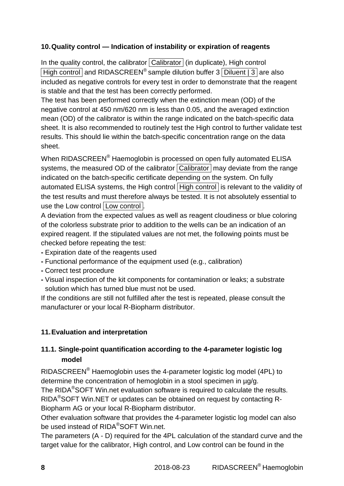## **10. Quality control — Indication of instability or expiration of reagents**

In the quality control, the calibrator  $\boxed{\text{Calibration}}$  (in duplicate), High control High control and RIDASCREEN<sup>®</sup> sample dilution buffer  $3$  Diluent  $|3|$  are also included as negative controls for every test in order to demonstrate that the reagent is stable and that the test has been correctly performed.

The test has been performed correctly when the extinction mean (OD) of the negative control at 450 nm/620 nm is less than 0.05, and the averaged extinction mean (OD) of the calibrator is within the range indicated on the batch-specific data sheet. It is also recommended to routinely test the High control to further validate test results. This should lie within the batch-specific concentration range on the data sheet.

When RIDASCREEN $^{\circledast}$  Haemoglobin is processed on open fully automated ELISA systems, the measured OD of the calibrator  $\overline{Calibration}$  may deviate from the range indicated on the batch-specific certificate depending on the system. On fully automated ELISA systems, the High control High control is relevant to the validity of the test results and must therefore always be tested. It is not absolutely essential to use the Low control Low control .

A deviation from the expected values as well as reagent cloudiness or blue coloring of the colorless substrate prior to addition to the wells can be an indication of an expired reagent. If the stipulated values are not met, the following points must be checked before repeating the test:

- Expiration date of the reagents used
- Functional performance of the equipment used (e.g., calibration)
- Correct test procedure
- Visual inspection of the kit components for contamination or leaks; a substrate solution which has turned blue must not be used.

If the conditions are still not fulfilled after the test is repeated, please consult the manufacturer or your local R-Biopharm distributor.

# **11. Evaluation and interpretation**

# **11.1. Single-point quantification according to the 4-parameter logistic log model**

RIDASCREEN® Haemoglobin uses the 4-parameter logistic log model (4PL) to determine the concentration of hemoglobin in a stool specimen in µg/g.

The RIDA®SOFT Win.net evaluation software is required to calculate the results. RIDA®SOFT Win.NET or updates can be obtained on request by contacting R-Biopharm AG or your local R-Biopharm distributor.

Other evaluation software that provides the 4-parameter logistic log model can also be used instead of RIDA<sup>®</sup>SOFT Win.net.

The parameters (A - D) required for the 4PL calculation of the standard curve and the target value for the calibrator, High control, and Low control can be found in the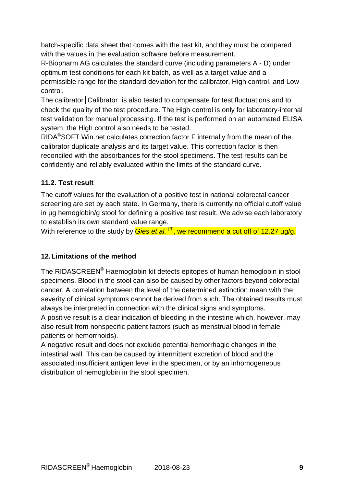batch-specific data sheet that comes with the test kit, and they must be compared with the values in the evaluation software before measurement.

R-Biopharm AG calculates the standard curve (including parameters A - D) under optimum test conditions for each kit batch, as well as a target value and a permissible range for the standard deviation for the calibrator, High control, and Low control.

The calibrator Calibrator is also tested to compensate for test fluctuations and to check the quality of the test procedure. The High control is only for laboratory-internal test validation for manual processing. If the test is performed on an automated ELISA system, the High control also needs to be tested.

RIDA®SOFT Win.net calculates correction factor F internally from the mean of the calibrator duplicate analysis and its target value. This correction factor is then reconciled with the absorbances for the stool specimens. The test results can be confidently and reliably evaluated within the limits of the standard curve.

## **11.2. Test result**

The cutoff values for the evaluation of a positive test in national colorectal cancer screening are set by each state. In Germany, there is currently no official cutoff value in µg hemoglobin/g stool for defining a positive test result. We advise each laboratory to establish its own standard value range.

With reference to the study by  $Gies$  et al.  $^{[3]}$ , we recommend a cut off of 12.27  $\mu q/q$ .

# **12. Limitations of the method**

The RIDASCREEN® Haemoglobin kit detects epitopes of human hemoglobin in stool specimens. Blood in the stool can also be caused by other factors beyond colorectal cancer. A correlation between the level of the determined extinction mean with the severity of clinical symptoms cannot be derived from such. The obtained results must always be interpreted in connection with the clinical signs and symptoms.

A positive result is a clear indication of bleeding in the intestine which, however, may also result from nonspecific patient factors (such as menstrual blood in female patients or hemorrhoids).

A negative result and does not exclude potential hemorrhagic changes in the intestinal wall. This can be caused by intermittent excretion of blood and the associated insufficient antigen level in the specimen, or by an inhomogeneous distribution of hemoglobin in the stool specimen.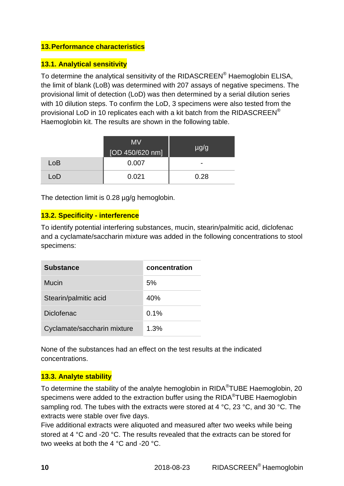#### **13. Performance characteristics**

#### **13.1. Analytical sensitivity**

To determine the analytical sensitivity of the RIDASCREEN® Haemoglobin ELISA, the limit of blank (LoB) was determined with 207 assays of negative specimens. The provisional limit of detection (LoD) was then determined by a serial dilution series with 10 dilution steps. To confirm the LoD, 3 specimens were also tested from the provisional LoD in 10 replicates each with a kit batch from the RIDASCREEN<sup>®</sup> Haemoglobin kit. The results are shown in the following table.

|     | <b>MV</b><br>[OD 450/620 nm] | $\mu$ g/g                |
|-----|------------------------------|--------------------------|
| LoB | 0.007                        | $\overline{\phantom{0}}$ |
| LoD | 0.021                        | 0.28                     |

The detection limit is 0.28  $\mu$ g/g hemoglobin.

#### **13.2. Specificity - interference**

To identify potential interfering substances, mucin, stearin/palmitic acid, diclofenac and a cyclamate/saccharin mixture was added in the following concentrations to stool specimens:

| <b>Substance</b>            | concentration |
|-----------------------------|---------------|
| Mucin                       | 5%            |
| Stearin/palmitic acid       | 40%           |
| <b>Diclofenac</b>           | 0.1%          |
| Cyclamate/saccharin mixture | 1.3%          |

None of the substances had an effect on the test results at the indicated concentrations.

#### **13.3. Analyte stability**

To determine the stability of the analyte hemoglobin in RIDA<sup>®</sup>TUBE Haemoglobin, 20 specimens were added to the extraction buffer using the RIDA $^{\circledR}$ TUBE Haemoglobin sampling rod. The tubes with the extracts were stored at 4 °C, 23 °C, and 30 °C. The extracts were stable over five days.

Five additional extracts were aliquoted and measured after two weeks while being stored at 4 °C and -20 °C. The results revealed that the extracts can be stored for two weeks at both the 4 °C and -20 °C.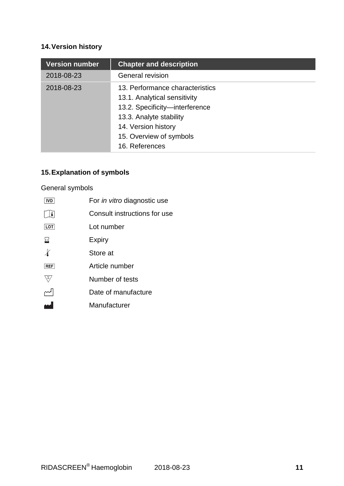# **14. Version history**

| <b>Version number</b> | <b>Chapter and description</b>                                                                                                                                                                   |
|-----------------------|--------------------------------------------------------------------------------------------------------------------------------------------------------------------------------------------------|
| 2018-08-23            | General revision                                                                                                                                                                                 |
| 2018-08-23            | 13. Performance characteristics<br>13.1. Analytical sensitivity<br>13.2. Specificity-interference<br>13.3. Analyte stability<br>14. Version history<br>15. Overview of symbols<br>16. References |

# **15. Explanation of symbols**

# General symbols

| <b>IVD</b>     | For <i>in vitro</i> diagnostic use |
|----------------|------------------------------------|
| $ \mathbf{i} $ | Consult instructions for use       |
| LOT            | Lot number                         |
| 욤              | Expiry                             |
| X              | Store at                           |
| <b>REF</b>     | Article number                     |
| Σ,             | Number of tests                    |
|                | Date of manufacture                |
|                | Manufacturer                       |
|                |                                    |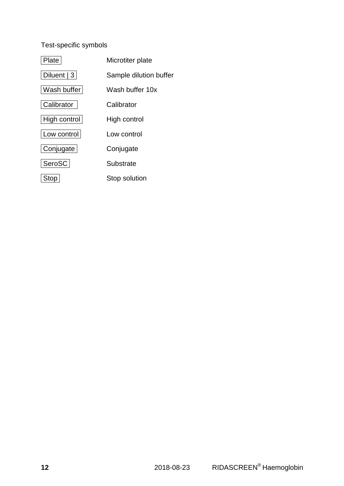# Test-specific symbols

| Plate        | Microtiter plate       |
|--------------|------------------------|
| Diluent $ 3$ | Sample dilution buffer |
| Wash buffer  | Wash buffer 10x        |
| Calibrator   | Calibrator             |
| High control | High control           |
| Low control  | Low control            |
| Conjugate    | Conjugate              |
| SeroSC       | Substrate              |
| Stop         | Stop solution          |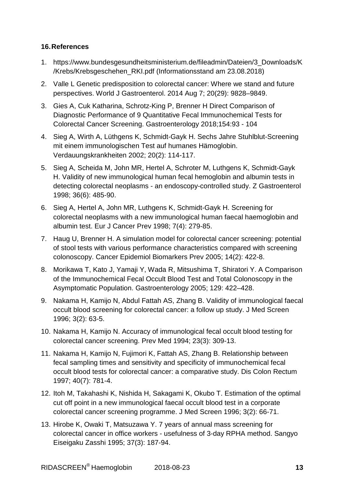#### **16. References**

- 1. https://www.bundesgesundheitsministerium.de/fileadmin/Dateien/3\_Downloads/K /Krebs/Krebsgeschehen\_RKI.pdf (Informationsstand am 23.08.2018)
- 2. Valle L Genetic predisposition to colorectal cancer: Where we stand and future perspectives. World J Gastroenterol. 2014 Aug 7; 20(29): 9828–9849.
- 3. Gies A, Cuk Katharina, Schrotz-King P, Brenner H Direct Comparison of Diagnostic Performance of 9 Quantitative Fecal Immunochemical Tests for Colorectal Cancer Screening. Gastroenterology 2018;154:93 - 104
- 4. Sieg A, Wirth A, Lüthgens K, Schmidt-Gayk H. Sechs Jahre Stuhlblut-Screening mit einem immunologischen Test auf humanes Hämoglobin. Verdauungskrankheiten 2002; 20(2): 114-117.
- 5. Sieg A, Scheida M, John MR, Hertel A, Schroter M, Luthgens K, Schmidt-Gayk H. Validity of new immunological human fecal hemoglobin and albumin tests in detecting colorectal neoplasms - an endoscopy-controlled study. Z Gastroenterol 1998; 36(6): 485-90.
- 6. Sieg A, Hertel A, John MR, Luthgens K, Schmidt-Gayk H. Screening for colorectal neoplasms with a new immunological human faecal haemoglobin and albumin test. Eur J Cancer Prev 1998; 7(4): 279-85.
- 7. Haug U, Brenner H. A simulation model for colorectal cancer screening: potential of stool tests with various performance characteristics compared with screening colonoscopy. Cancer Epidemiol Biomarkers Prev 2005; 14(2): 422-8.
- 8. Morikawa T, Kato J, Yamaji Y, Wada R, Mitsushima T, Shiratori Y. A Comparison of the Immunochemical Fecal Occult Blood Test and Total Colonoscopy in the Asymptomatic Population. Gastroenterology 2005; 129: 422–428.
- 9. Nakama H, Kamijo N, Abdul Fattah AS, Zhang B. Validity of immunological faecal occult blood screening for colorectal cancer: a follow up study. J Med Screen 1996; 3(2): 63-5.
- 10. Nakama H, Kamijo N. Accuracy of immunological fecal occult blood testing for colorectal cancer screening. Prev Med 1994; 23(3): 309-13.
- 11. Nakama H, Kamijo N, Fujimori K, Fattah AS, Zhang B. Relationship between fecal sampling times and sensitivity and specificity of immunochemical fecal occult blood tests for colorectal cancer: a comparative study. Dis Colon Rectum 1997; 40(7): 781-4.
- 12. Itoh M, Takahashi K, Nishida H, Sakagami K, Okubo T. Estimation of the optimal cut off point in a new immunological faecal occult blood test in a corporate colorectal cancer screening programme. J Med Screen 1996; 3(2): 66-71.
- 13. Hirobe K, Owaki T, Matsuzawa Y. 7 years of annual mass screening for colorectal cancer in office workers - usefulness of 3-day RPHA method. Sangyo Eiseigaku Zasshi 1995; 37(3): 187-94.